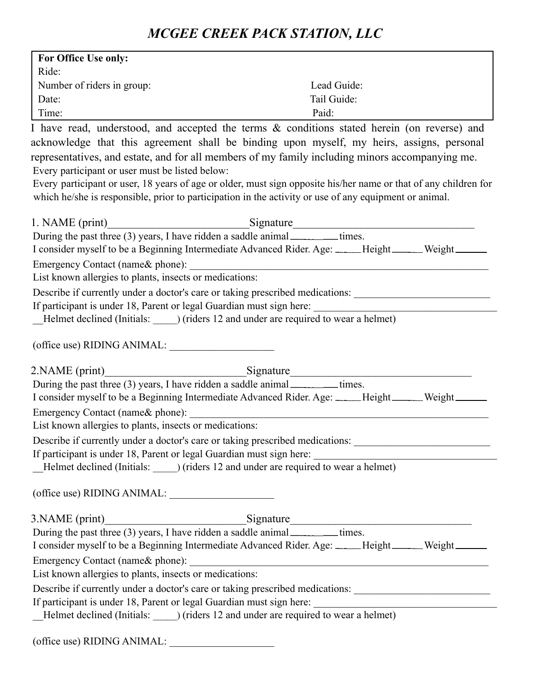| <b>For Office Use only:</b> |                                                                            |  |  |
|-----------------------------|----------------------------------------------------------------------------|--|--|
| Ride:                       |                                                                            |  |  |
| Number of riders in group:  | Lead Guide:                                                                |  |  |
| Date:                       | Tail Guide:                                                                |  |  |
| Time:                       | Paid:                                                                      |  |  |
| r 1                         | $\blacksquare$<br>$\sim$ 11 $\sim$<br>$\Omega$<br>$\sim$ 1 $\sim$ 1 $\sim$ |  |  |

I have read, understood, and accepted the terms & conditions stated herein (on reverse) and acknowledge that this agreement shall be binding upon myself, my heirs, assigns, personal representatives, and estate, and for all members of my family including minors accompanying me. Every participant or user must be listed below:

Every participant or user, 18 years of age or older, must sign opposite his/her name or that of any children for which he/she is responsible, prior to participation in the activity or use of any equipment or animal.

|                                                         | 1. NAME (print)<br>During the past three (3) years, I have ridden a saddle animal<br>mes.            |  |
|---------------------------------------------------------|------------------------------------------------------------------------------------------------------|--|
|                                                         | I consider myself to be a Beginning Intermediate Advanced Rider. Age: _____Height______Weight______  |  |
|                                                         |                                                                                                      |  |
| List known allergies to plants, insects or medications: |                                                                                                      |  |
|                                                         | Describe if currently under a doctor's care or taking prescribed medications: ______________________ |  |
|                                                         | If participant is under 18, Parent or legal Guardian must sign here:                                 |  |
|                                                         | Helmet declined (Initials: ) (riders 12 and under are required to wear a helmet)                     |  |
|                                                         |                                                                                                      |  |
| (office use) RIDING ANIMAL:                             |                                                                                                      |  |
|                                                         | 2. NAME (print) Signature                                                                            |  |
|                                                         | During the past three (3) years, I have ridden a saddle animal <u>example times</u> .                |  |
|                                                         | I consider myself to be a Beginning Intermediate Advanced Rider. Age: _____Height______Weight______  |  |
|                                                         |                                                                                                      |  |
| List known allergies to plants, insects or medications: |                                                                                                      |  |
|                                                         | Describe if currently under a doctor's care or taking prescribed medications: ______________________ |  |
|                                                         |                                                                                                      |  |
|                                                         | [Helmet declined (Initials: ______) (riders 12 and under are required to wear a helmet)              |  |
| (office use) RIDING ANIMAL:                             |                                                                                                      |  |
|                                                         |                                                                                                      |  |
|                                                         |                                                                                                      |  |
|                                                         | During the past three (3) years, I have ridden a saddle animal _________times.                       |  |
|                                                         | I consider myself to be a Beginning Intermediate Advanced Rider. Age: _____Height______Weight______  |  |
|                                                         |                                                                                                      |  |
| List known allergies to plants, insects or medications: |                                                                                                      |  |
|                                                         | Describe if currently under a doctor's care or taking prescribed medications: ______________________ |  |
|                                                         | If participant is under 18, Parent or legal Guardian must sign here:                                 |  |
|                                                         | Helmet declined (Initials: _______) (riders 12 and under are required to wear a helmet)              |  |
|                                                         |                                                                                                      |  |
| (office use) RIDING ANIMAL:                             |                                                                                                      |  |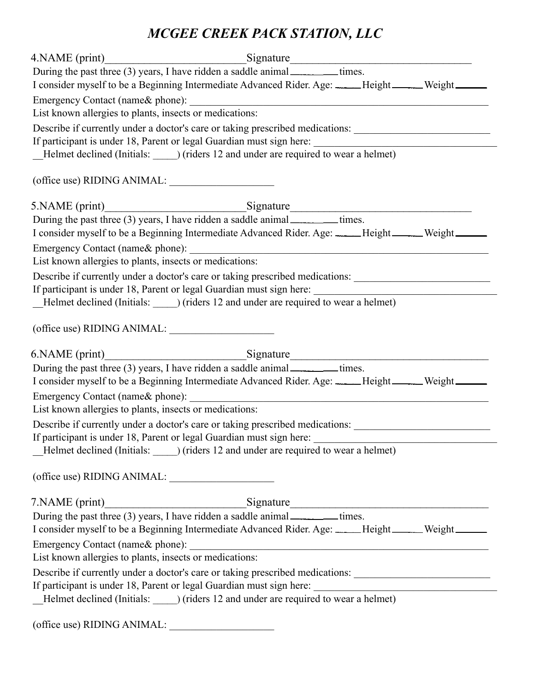|                                                         | During the past three (3) years, I have ridden a saddle animal _________times.<br>I consider myself to be a Beginning Intermediate Advanced Rider. Age: _____Height______Weight______ |                                                                                                                      |
|---------------------------------------------------------|---------------------------------------------------------------------------------------------------------------------------------------------------------------------------------------|----------------------------------------------------------------------------------------------------------------------|
|                                                         |                                                                                                                                                                                       |                                                                                                                      |
| List known allergies to plants, insects or medications: |                                                                                                                                                                                       |                                                                                                                      |
|                                                         | Describe if currently under a doctor's care or taking prescribed medications: ______________________                                                                                  |                                                                                                                      |
|                                                         |                                                                                                                                                                                       |                                                                                                                      |
|                                                         |                                                                                                                                                                                       |                                                                                                                      |
| (office use) RIDING ANIMAL:                             |                                                                                                                                                                                       |                                                                                                                      |
|                                                         |                                                                                                                                                                                       |                                                                                                                      |
|                                                         | During the past three (3) years, I have ridden a saddle animal ________times.                                                                                                         |                                                                                                                      |
|                                                         | I consider myself to be a Beginning Intermediate Advanced Rider. Age: _____Height______Weight______                                                                                   |                                                                                                                      |
|                                                         |                                                                                                                                                                                       |                                                                                                                      |
| List known allergies to plants, insects or medications: |                                                                                                                                                                                       |                                                                                                                      |
|                                                         | Describe if currently under a doctor's care or taking prescribed medications: ______________________                                                                                  |                                                                                                                      |
|                                                         |                                                                                                                                                                                       |                                                                                                                      |
|                                                         |                                                                                                                                                                                       |                                                                                                                      |
| (office use) RIDING ANIMAL:                             |                                                                                                                                                                                       |                                                                                                                      |
|                                                         |                                                                                                                                                                                       |                                                                                                                      |
|                                                         | During the past three (3) years, I have ridden a saddle animal ________times.                                                                                                         |                                                                                                                      |
|                                                         | I consider myself to be a Beginning Intermediate Advanced Rider. Age: _____Height______Weight______                                                                                   |                                                                                                                      |
| Emergency Contact (name& phone):                        |                                                                                                                                                                                       | <u> 1989 - Johann Barn, mars eta bainar eta bainar eta baina eta baina eta baina eta baina eta baina eta baina e</u> |
| List known allergies to plants, insects or medications: |                                                                                                                                                                                       |                                                                                                                      |
|                                                         | Describe if currently under a doctor's care or taking prescribed medications:                                                                                                         |                                                                                                                      |
|                                                         | If participant is under 18, Parent or legal Guardian must sign here:                                                                                                                  |                                                                                                                      |
|                                                         | _Helmet declined (Initials: _______) (riders 12 and under are required to wear a helmet)                                                                                              |                                                                                                                      |
| (office use) RIDING ANIMAL:                             |                                                                                                                                                                                       |                                                                                                                      |
|                                                         | 7. NAME (print)<br>During the past three (3) years, I have ridden a saddle animal<br>mes.                                                                                             |                                                                                                                      |
|                                                         |                                                                                                                                                                                       |                                                                                                                      |
|                                                         | I consider myself to be a Beginning Intermediate Advanced Rider. Age: _____Height_____Weight______                                                                                    |                                                                                                                      |
|                                                         |                                                                                                                                                                                       |                                                                                                                      |
| List known allergies to plants, insects or medications: |                                                                                                                                                                                       |                                                                                                                      |
|                                                         | Describe if currently under a doctor's care or taking prescribed medications: ______________________                                                                                  |                                                                                                                      |
|                                                         |                                                                                                                                                                                       |                                                                                                                      |
|                                                         |                                                                                                                                                                                       |                                                                                                                      |
|                                                         |                                                                                                                                                                                       |                                                                                                                      |

(office use) RIDING ANIMAL: \_\_\_\_\_\_\_\_\_\_\_\_\_\_\_\_\_\_\_\_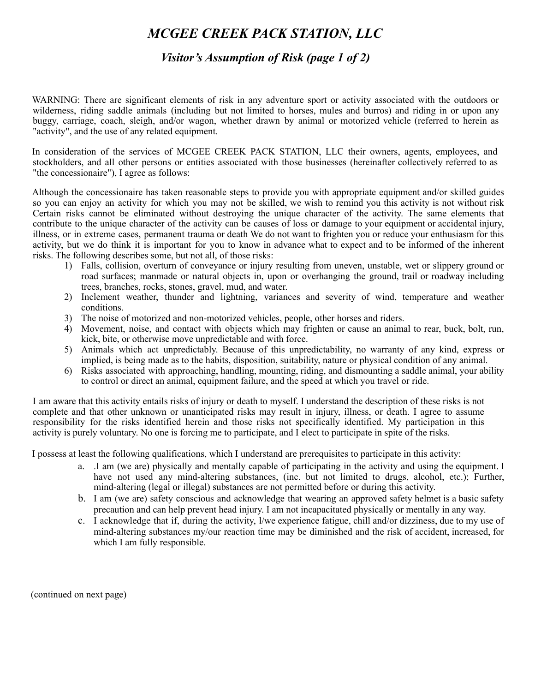#### *Visitor's Assumption of Risk (page 1 of 2)*

WARNING: There are significant elements of risk in any adventure sport or activity associated with the outdoors or wilderness, riding saddle animals (including but not limited to horses, mules and burros) and riding in or upon any buggy, carriage, coach, sleigh, and/or wagon, whether drawn by animal or motorized vehicle (referred to herein as "activity", and the use of any related equipment.

In consideration of the services of MCGEE CREEK PACK STATION, LLC their owners, agents, employees, and stockholders, and all other persons or entities associated with those businesses (hereinafter collectively referred to as "the concessionaire"), I agree as follows:

Although the concessionaire has taken reasonable steps to provide you with appropriate equipment and/or skilled guides so you can enjoy an activity for which you may not be skilled, we wish to remind you this activity is not without risk Certain risks cannot be eliminated without destroying the unique character of the activity. The same elements that contribute to the unique character of the activity can be causes of loss or damage to your equipment or accidental injury, illness, or in extreme cases, permanent trauma or death We do not want to frighten you or reduce your enthusiasm for this activity, but we do think it is important for you to know in advance what to expect and to be informed of the inherent risks. The following describes some, but not all, of those risks:

- 1) Falls, collision, overturn of conveyance or injury resulting from uneven, unstable, wet or slippery ground or road surfaces; manmade or natural objects in, upon or overhanging the ground, trail or roadway including trees, branches, rocks, stones, gravel, mud, and water.
- 2) Inclement weather, thunder and lightning, variances and severity of wind, temperature and weather conditions.
- 3) The noise of motorized and non-motorized vehicles, people, other horses and riders.
- 4) Movement, noise, and contact with objects which may frighten or cause an animal to rear, buck, bolt, run, kick, bite, or otherwise move unpredictable and with force.
- 5) Animals which act unpredictably. Because of this unpredictability, no warranty of any kind, express or implied, is being made as to the habits, disposition, suitability, nature or physical condition of any animal.
- 6) Risks associated with approaching, handling, mounting, riding, and dismounting a saddle animal, your ability to control or direct an animal, equipment failure, and the speed at which you travel or ride.

I am aware that this activity entails risks of injury or death to myself. I understand the description of these risks is not complete and that other unknown or unanticipated risks may result in injury, illness, or death. I agree to assume responsibility for the risks identified herein and those risks not specifically identified. My participation in this activity is purely voluntary. No one is forcing me to participate, and I elect to participate in spite of the risks.

I possess at least the following qualifications, which I understand are prerequisites to participate in this activity:

- a. .I am (we are) physically and mentally capable of participating in the activity and using the equipment. I have not used any mind-altering substances, (inc. but not limited to drugs, alcohol, etc.); Further, mind-altering (legal or illegal) substances are not permitted before or during this activity.
- b. I am (we are) safety conscious and acknowledge that wearing an approved safety helmet is a basic safety precaution and can help prevent head injury. I am not incapacitated physically or mentally in any way.
- c. I acknowledge that if, during the activity, l/we experience fatigue, chill and/or dizziness, due to my use of mind-altering substances my/our reaction time may be diminished and the risk of accident, increased, for which I am fully responsible.

(continued on next page)